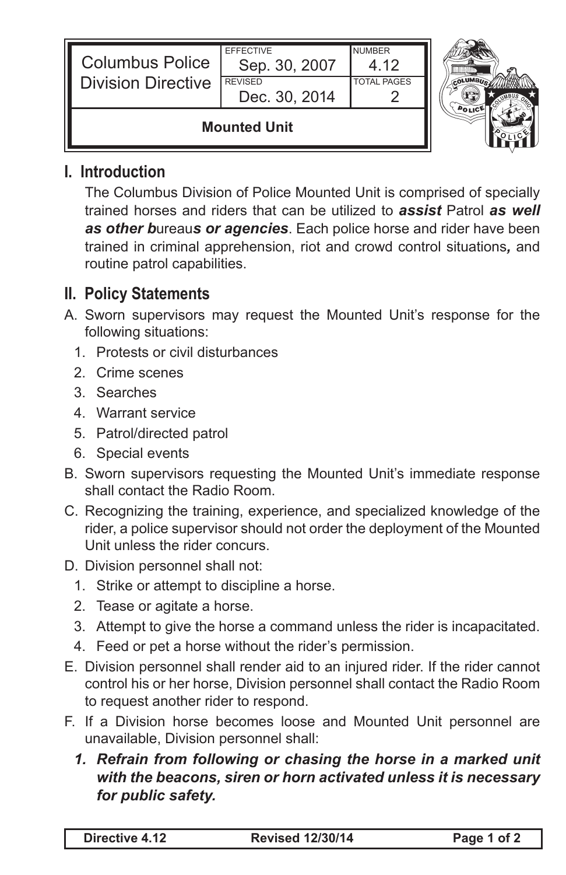| <b>Columbus Police</b><br><b>Division Directive</b> | <b>EFFECTIVE</b><br>Sep. 30, 2007<br><b>REVISED</b><br>Dec. 30, 2014 | <b>NUMBER</b><br>4 1 2<br><b>TOTAL PAGES</b> |  |
|-----------------------------------------------------|----------------------------------------------------------------------|----------------------------------------------|--|
| <b>Mounted Unit</b>                                 |                                                                      |                                              |  |

## **I. Introduction**

The Columbus Division of Police Mounted Unit is comprised of specially trained horses and riders that can be utilized to *assist* Patrol *as well as other b*ureau*s or agencies*. Each police horse and rider have been trained in criminal apprehension, riot and crowd control situations*,* and routine patrol capabilities.

## **II. Policy Statements**

- A. Sworn supervisors may request the Mounted Unit's response for the following situations:
	- 1. Protests or civil disturbances
	- 2. Crime scenes
	- 3. Searches
	- 4. Warrant service
	- 5. Patrol/directed patrol
	- 6. Special events
- B. Sworn supervisors requesting the Mounted Unit's immediate response shall contact the Radio Room.
- C. Recognizing the training, experience, and specialized knowledge of the rider, a police supervisor should not order the deployment of the Mounted Unit unless the rider concurs.
- D. Division personnel shall not:
	- 1. Strike or attempt to discipline a horse.
	- 2. Tease or agitate a horse.
	- 3. Attempt to give the horse a command unless the rider is incapacitated.
	- 4. Feed or pet a horse without the rider's permission.
- E. Division personnel shall render aid to an injured rider. If the rider cannot control his or her horse, Division personnel shall contact the Radio Room to request another rider to respond.
- F. If a Division horse becomes loose and Mounted Unit personnel are unavailable, Division personnel shall:
	- 1. Refrain from following or chasing the horse in a marked unit *with the beacons, siren or horn activated unless it is necessary for public safety.*